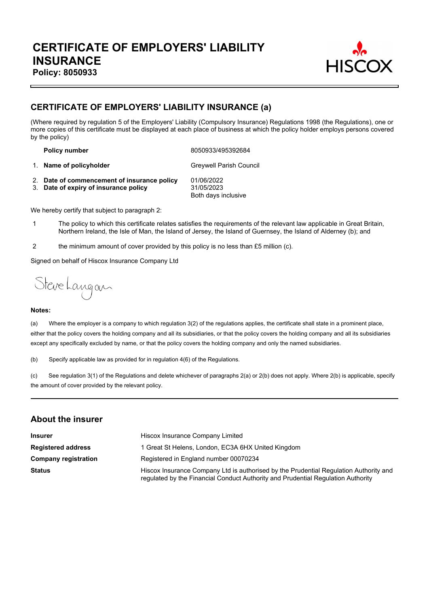

# **CERTIFICATE OF EMPLOYERS' LIABILITY INSURANCE (a)**

(Where required by regulation 5 of the Employers' Liability (Compulsory Insurance) Regulations 1998 (the Regulations), one or more copies of this certificate must be displayed at each place of business at which the policy holder employs persons covered by the policy)

**Policy number** 8050933/495392684

1. **Name of policyholder** Greywell Parish Council

2. **Date of commencement of insurance policy** 01/06/2022 3. **Date of expiry of insurance policy** 31/05/2023 Both days inclusive

We hereby certify that subject to paragraph 2:

- 1 The policy to which this certificate relates satisfies the requirements of the relevant law applicable in Great Britain, Northern Ireland, the Isle of Man, the Island of Jersey, the Island of Guernsey, the Island of Alderney (b); and
- 2 the minimum amount of cover provided by this policy is no less than £5 million (c).

Signed on behalf of Hiscox Insurance Company Ltd

Steve Langan

#### **Notes:**

(a) Where the employer is a company to which regulation 3(2) of the regulations applies, the certificate shall state in a prominent place, either that the policy covers the holding company and all its subsidiaries, or that the policy covers the holding company and all its subsidiaries except any specifically excluded by name, or that the policy covers the holding company and only the named subsidiaries.

(b) Specify applicable law as provided for in regulation 4(6) of the Regulations.

(c) See regulation 3(1) of the Regulations and delete whichever of paragraphs 2(a) or 2(b) does not apply. Where 2(b) is applicable, specify the amount of cover provided by the relevant policy.

### **About the insurer**

| <b>Insurer</b>              | Hiscox Insurance Company Limited                                                                                                                                          |  |  |
|-----------------------------|---------------------------------------------------------------------------------------------------------------------------------------------------------------------------|--|--|
| <b>Registered address</b>   | 1 Great St Helens, London, EC3A 6HX United Kingdom                                                                                                                        |  |  |
| <b>Company registration</b> | Registered in England number 00070234                                                                                                                                     |  |  |
| <b>Status</b>               | Hiscox Insurance Company Ltd is authorised by the Prudential Regulation Authority and<br>regulated by the Financial Conduct Authority and Prudential Regulation Authority |  |  |